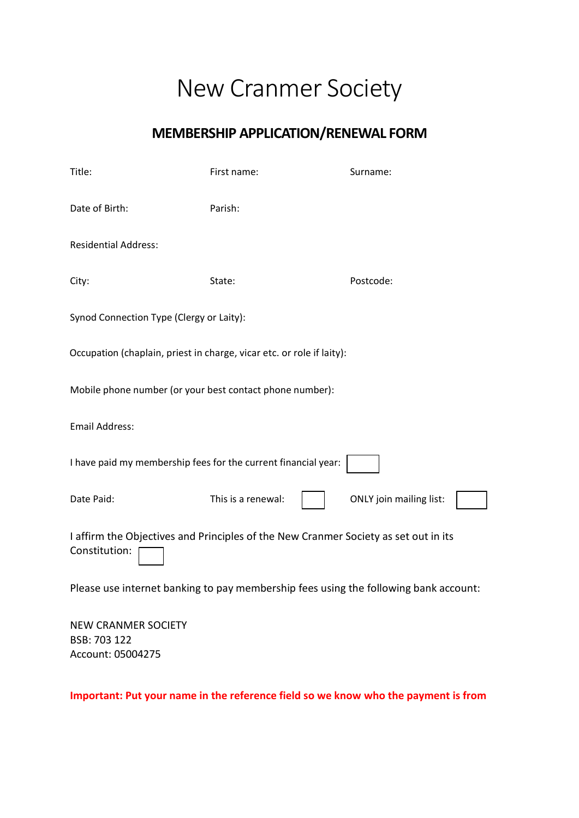## New Cranmer Society

## **MEMBERSHIP APPLICATION/RENEWAL FORM**

| Title:                                                                                               | First name:        | Surname:                       |
|------------------------------------------------------------------------------------------------------|--------------------|--------------------------------|
| Date of Birth:                                                                                       | Parish:            |                                |
| <b>Residential Address:</b>                                                                          |                    |                                |
| City:                                                                                                | State:             | Postcode:                      |
| Synod Connection Type (Clergy or Laity):                                                             |                    |                                |
| Occupation (chaplain, priest in charge, vicar etc. or role if laity):                                |                    |                                |
| Mobile phone number (or your best contact phone number):                                             |                    |                                |
| <b>Email Address:</b>                                                                                |                    |                                |
| I have paid my membership fees for the current financial year:                                       |                    |                                |
| Date Paid:                                                                                           | This is a renewal: | <b>ONLY</b> join mailing list: |
| I affirm the Objectives and Principles of the New Cranmer Society as set out in its<br>Constitution: |                    |                                |
| Please use internet banking to pay membership fees using the following bank account:                 |                    |                                |
| <b>NEW CRANMER SOCIETY</b><br>BSB: 703 122                                                           |                    |                                |

**Important: Put your name in the reference field so we know who the payment is from**

Account: 05004275